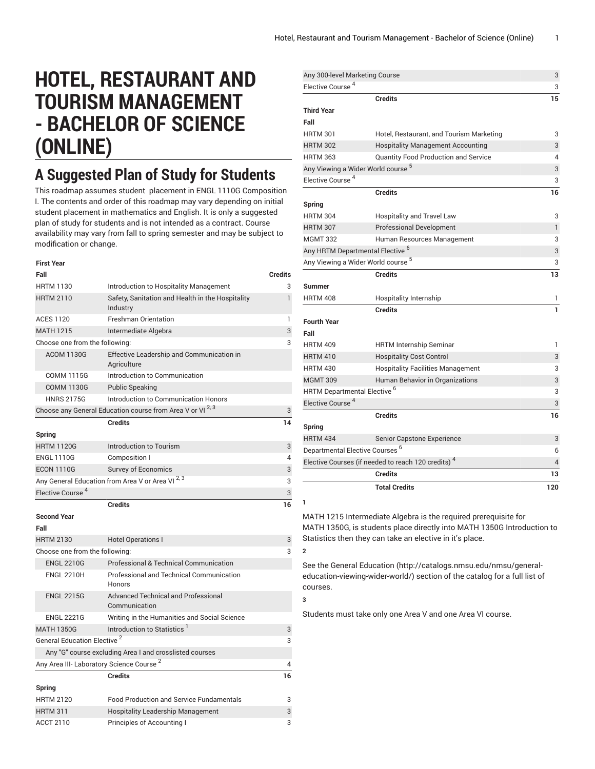# **HOTEL, RESTAURANT AND TOURISM MANAGEMENT - BACHELOR OF SCIENCE (ONLINE)**

## **A Suggested Plan of Study for Students**

This roadmap assumes student placement in ENGL 1110G Composition I. The contents and order of this roadmap may vary depending on initial student placement in mathematics and English. It is only a suggested plan of study for students and is not intended as a contract. Course availability may vary from fall to spring semester and may be subject to modification or change.

| First Year                                           |                                                                      |                |
|------------------------------------------------------|----------------------------------------------------------------------|----------------|
| Fall                                                 |                                                                      | <b>Credits</b> |
| <b>HRTM 1130</b>                                     | Introduction to Hospitality Management                               | 3              |
| <b>HRTM 2110</b>                                     | Safety, Sanitation and Health in the Hospitality<br>Industry         | $\mathbf{1}$   |
| <b>ACES 1120</b>                                     | <b>Freshman Orientation</b>                                          | 1              |
| <b>MATH 1215</b>                                     | Intermediate Algebra                                                 | 3              |
| Choose one from the following:                       |                                                                      | 3              |
| <b>ACOM 1130G</b>                                    | Effective Leadership and Communication in<br>Agriculture             |                |
| <b>COMM 1115G</b>                                    | Introduction to Communication                                        |                |
| <b>COMM 1130G</b>                                    | <b>Public Speaking</b>                                               |                |
| <b>HNRS 2175G</b>                                    | Introduction to Communication Honors                                 |                |
|                                                      | Choose any General Education course from Area V or VI <sup>2,3</sup> | 3              |
|                                                      | <b>Credits</b>                                                       | 14             |
| Spring                                               |                                                                      |                |
| <b>HRTM 1120G</b>                                    | Introduction to Tourism                                              | 3              |
| <b>ENGL 1110G</b>                                    | Composition I                                                        | 4              |
| <b>ECON 1110G</b>                                    | <b>Survey of Economics</b>                                           | 3              |
|                                                      | Any General Education from Area V or Area VI 2, 3                    | 3              |
| Elective Course <sup>4</sup>                         |                                                                      | 3              |
|                                                      |                                                                      |                |
|                                                      | <b>Credits</b>                                                       | 16             |
| <b>Second Year</b>                                   |                                                                      |                |
| Fall                                                 |                                                                      |                |
| <b>HRTM 2130</b>                                     | <b>Hotel Operations I</b>                                            | 3              |
| Choose one from the following:                       |                                                                      | 3              |
| <b>ENGL 2210G</b>                                    | Professional & Technical Communication                               |                |
| <b>ENGL 2210H</b>                                    | <b>Professional and Technical Communication</b><br>Honors            |                |
| <b>ENGL 2215G</b>                                    | <b>Advanced Technical and Professional</b><br>Communication          |                |
| <b>ENGL 2221G</b>                                    | Writing in the Humanities and Social Science                         |                |
| <b>MATH 1350G</b>                                    | Introduction to Statistics <sup>1</sup>                              | 3              |
| General Education Elective <sup>2</sup>              |                                                                      | 3              |
|                                                      | Any "G" course excluding Area I and crosslisted courses              |                |
| Any Area III- Laboratory Science Course <sup>2</sup> |                                                                      | 4              |
|                                                      | <b>Credits</b>                                                       | 16             |
| Spring                                               |                                                                      |                |
| <b>HRTM 2120</b>                                     | <b>Food Production and Service Fundamentals</b>                      | 3              |
| <b>HRTM 311</b>                                      | Hospitality Leadership Management                                    | 3              |

| Any 300-level Marketing Course             |                                                                | 3              |
|--------------------------------------------|----------------------------------------------------------------|----------------|
| Elective Course <sup>4</sup>               |                                                                | 3              |
|                                            | <b>Credits</b>                                                 | 15             |
| <b>Third Year</b>                          |                                                                |                |
| Fall                                       |                                                                |                |
| <b>HRTM 301</b>                            | Hotel, Restaurant, and Tourism Marketing                       | 3              |
| <b>HRTM 302</b>                            | <b>Hospitality Management Accounting</b>                       | 3              |
| <b>HRTM 363</b>                            | <b>Quantity Food Production and Service</b>                    | $\overline{4}$ |
|                                            | Any Viewing a Wider World course <sup>5</sup>                  | 3              |
| Elective Course <sup>4</sup>               |                                                                | 3              |
|                                            | <b>Credits</b>                                                 | 16             |
| Spring                                     |                                                                |                |
| <b>HRTM 304</b>                            | Hospitality and Travel Law                                     | 3              |
| <b>HRTM 307</b>                            | <b>Professional Development</b>                                | 1              |
| <b>MGMT 332</b>                            | Human Resources Management                                     | 3              |
|                                            | Any HRTM Departmental Elective <sup>6</sup>                    | 3              |
| Any Viewing a Wider World course 5         |                                                                | 3              |
|                                            | <b>Credits</b>                                                 | 13             |
| Summer                                     |                                                                |                |
| <b>HRTM 408</b>                            | Hospitality Internship                                         | 1              |
|                                            | <b>Credits</b>                                                 | 1              |
| <b>Fourth Year</b>                         |                                                                |                |
| Fall                                       |                                                                |                |
| <b>HRTM 409</b>                            | <b>HRTM Internship Seminar</b>                                 | 1              |
| <b>HRTM 410</b>                            | <b>Hospitality Cost Control</b>                                | 3              |
| <b>HRTM 430</b>                            | <b>Hospitality Facilities Management</b>                       | 3              |
| <b>MGMT 309</b>                            | Human Behavior in Organizations                                | 3              |
| HRTM Departmental Elective <sup>6</sup>    |                                                                | 3              |
| Elective Course <sup>4</sup>               |                                                                | 3              |
|                                            | <b>Credits</b>                                                 | 16             |
| Spring                                     |                                                                |                |
| <b>HRTM 434</b>                            | Senior Capstone Experience                                     | 3              |
| Departmental Elective Courses <sup>6</sup> |                                                                | 6              |
|                                            | Elective Courses (if needed to reach 120 credits) <sup>4</sup> | $\overline{4}$ |
|                                            | Credits                                                        | 13             |
|                                            | <b>Total Credits</b>                                           | 120            |
|                                            |                                                                |                |

MATH 1215 Intermediate Algebra is the required prerequisite for MATH 1350G, is students place directly into MATH 1350G Introduction to Statistics then they can take an elective in it's place.

See the General [Education](http://catalogs.nmsu.edu/nmsu/general-education-viewing-wider-world/) ([http://catalogs.nmsu.edu/nmsu/general](http://catalogs.nmsu.edu/nmsu/general-education-viewing-wider-world/)[education-viewing-wider-world/\)](http://catalogs.nmsu.edu/nmsu/general-education-viewing-wider-world/) section of the catalog for a full list of courses.

Students must take only one Area V and one Area VI course.

**1**

**2**

**3**